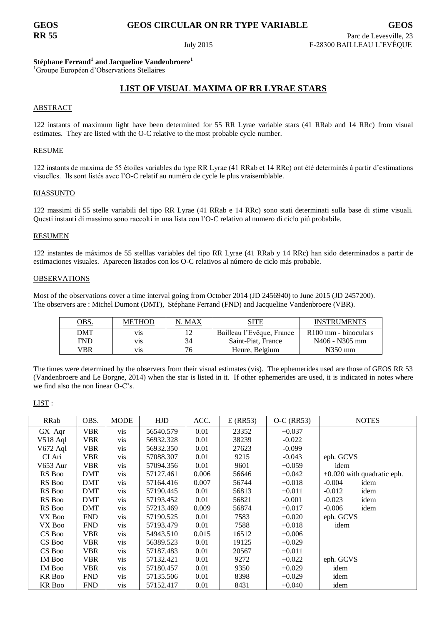# **GEOS GEOS CIRCULAR ON RR TYPE VARIABLE GEOS**

## **Stéphane Ferrand<sup>1</sup> and Jacqueline Vandenbroere<sup>1</sup>**

<sup>1</sup>Groupe Européen d'Observations Stellaires

## **LIST OF VISUAL MAXIMA OF RR LYRAE STARS**

### ABSTRACT

122 instants of maximum light have been determined for 55 RR Lyrae variable stars (41 RRab and 14 RRc) from visual estimates. They are listed with the O-C relative to the most probable cycle number.

#### RESUME

122 instants de maxima de 55 étoiles variables du type RR Lyrae (41 RRab et 14 RRc) ont été determinés à partir d'estimations visuelles. Ils sont listés avec l'O-C relatif au numéro de cycle le plus vraisemblable.

#### RIASSUNTO

122 massimi di 55 stelle variabili del tipo RR Lyrae (41 RRab e 14 RRc) sono stati determinati sulla base di stime visuali. Questi instanti di massimo sono raccolti in una lista con l'O-C relativo al numero di ciclo piú probabile.

#### **RESUMEN**

122 instantes de máximos de 55 stelllas variables del tipo RR Lyrae (41 RRab y 14 RRc) han sido determinados a partir de estimaciones visuales. Aparecen listados con los O-C relativos al número de ciclo más probable.

#### **OBSERVATIONS**

Most of the observations cover a time interval going from October 2014 (JD 2456940) to June 2015 (JD 2457200). The observers are : Michel Dumont (DMT), Stéphane Ferrand (FND) and Jacqueline Vandenbroere (VBR).

| OBS.       | <b>METHOD</b>    | N. MAX | SITE                      | <b>INSTRUMENTS</b>               |
|------------|------------------|--------|---------------------------|----------------------------------|
| DMT        | V <sub>1</sub> S | 12     | Bailleau l'Evêque, France | R <sub>100</sub> mm - binoculars |
| <b>FND</b> | V <sub>1</sub> S | 34     | Saint-Piat, France        | N406 - N305 mm                   |
| VBR        | V1S              | 76     | Heure, Belgium            | $N350$ mm                        |

The times were determined by the observers from their visual estimates (vis). The ephemerides used are those of GEOS RR 53 (Vandenbroere and Le Borgne, 2014) when the star is listed in it. If other ephemerides are used, it is indicated in notes where we find also the non linear O-C's.

### LIST :

| RRab          | OBS.       | <b>MODE</b> | HJD       | ACC.  | $E$ (RR53) | $O-C$ (RR53) | <b>NOTES</b>                 |
|---------------|------------|-------------|-----------|-------|------------|--------------|------------------------------|
| GX Aqr        | VBR        | vis         | 56540.579 | 0.01  | 23352      | $+0.037$     |                              |
| $V518$ Aql    | VBR        | vis         | 56932.328 | 0.01  | 38239      | $-0.022$     |                              |
| V672 Aql      | <b>VBR</b> | vis         | 56932.350 | 0.01  | 27623      | $-0.099$     |                              |
| CI Ari        | <b>VBR</b> | vis         | 57088.307 | 0.01  | 9215       | $-0.043$     | eph. GCVS                    |
| V653 Aur      | <b>VBR</b> | vis         | 57094.356 | 0.01  | 9601       | $+0.059$     | idem                         |
| RS Boo        | <b>DMT</b> | vis         | 57127.461 | 0.006 | 56646      | $+0.042$     | $+0.020$ with quadratic eph. |
| RS Boo        | <b>DMT</b> | vis         | 57164.416 | 0.007 | 56744      | $+0.018$     | idem<br>$-0.004$             |
| RS Boo        | DMT        | vis         | 57190.445 | 0.01  | 56813      | $+0.011$     | $-0.012$<br>idem             |
| RS Boo        | <b>DMT</b> | vis         | 57193.452 | 0.01  | 56821      | $-0.001$     | $-0.023$<br>idem             |
| RS Boo        | <b>DMT</b> | vis         | 57213.469 | 0.009 | 56874      | $+0.017$     | $-0.006$<br>idem             |
| VX Boo        | <b>FND</b> | vis         | 57190.525 | 0.01  | 7583       | $+0.020$     | eph. GCVS                    |
| VX Boo        | <b>FND</b> | vis         | 57193.479 | 0.01  | 7588       | $+0.018$     | idem                         |
| CS Boo        | <b>VBR</b> | vis         | 54943.510 | 0.015 | 16512      | $+0.006$     |                              |
| CS Boo        | VBR        | vis         | 56389.523 | 0.01  | 19125      | $+0.029$     |                              |
| CS Boo        | <b>VBR</b> | vis         | 57187.483 | 0.01  | 20567      | $+0.011$     |                              |
| IM Boo        | <b>VBR</b> | vis         | 57132.421 | 0.01  | 9272       | $+0.022$     | eph. GCVS                    |
| <b>IM Boo</b> | <b>VBR</b> | vis         | 57180.457 | 0.01  | 9350       | $+0.029$     | idem                         |
| <b>KR</b> Boo | <b>FND</b> | vis         | 57135.506 | 0.01  | 8398       | $+0.029$     | idem                         |
| <b>KR</b> Boo | <b>FND</b> | vis         | 57152.417 | 0.01  | 8431       | $+0.040$     | idem                         |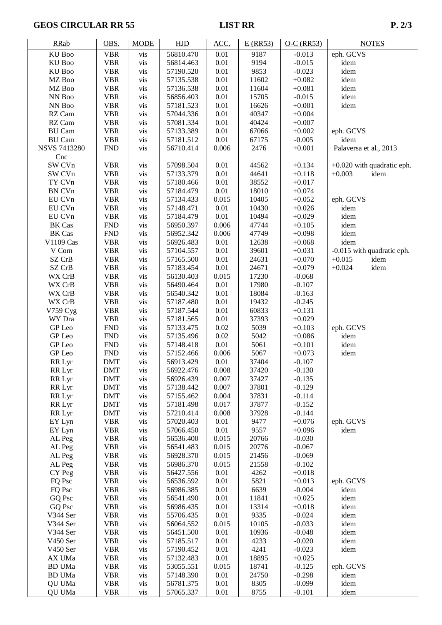# GEOS CIRCULAR RR 55 LIST RR P. 2/3

| <b>RRab</b>         | OBS.                     | <b>MODE</b> | HJD                    | ACC.         | $E$ (RR53)   | $O-C$ (RR53)         | <b>NOTES</b>                                     |
|---------------------|--------------------------|-------------|------------------------|--------------|--------------|----------------------|--------------------------------------------------|
| KU Boo              | <b>VBR</b>               | vis         | 56810.470              | 0.01         | 9187         | $-0.013$             | eph. GCVS                                        |
| KU Boo              | <b>VBR</b>               | vis         | 56814.463              | 0.01         | 9194         | $-0.015$             | idem                                             |
| KU Boo              | <b>VBR</b>               | vis         | 57190.520              | 0.01         | 9853         | $-0.023$             | idem                                             |
| MZ Boo              | <b>VBR</b>               | vis         | 57135.538              | 0.01         | 11602        | $+0.082$             | idem                                             |
| MZ Boo              | <b>VBR</b>               | vis         | 57136.538              | 0.01         | 11604        | $+0.081$             | idem                                             |
| NN Boo              | <b>VBR</b>               | vis         | 56856.403              | 0.01         | 15705        | $-0.015$             | idem                                             |
| NN Boo              | <b>VBR</b>               | vis         | 57181.523              | 0.01         | 16626        | $+0.001$             | idem                                             |
| RZ Cam              | <b>VBR</b>               | vis         | 57044.336              | 0.01         | 40347        | $+0.004$             |                                                  |
| RZ Cam              | <b>VBR</b>               | vis         | 57081.334              | 0.01         | 40424        | $+0.007$             |                                                  |
| <b>BU</b> Cam       | <b>VBR</b>               | vis         | 57133.389              | 0.01         | 67066        | $+0.002$             | eph. GCVS                                        |
| <b>BU</b> Cam       | <b>VBR</b>               | vis         | 57181.512              | 0.01         | 67175        | $-0.005$             | idem                                             |
| <b>NSVS 7413280</b> | <b>FND</b>               | vis         | 56710.414              | 0.006        | 2476         | $+0.001$             | Palaversa et al., 2013                           |
| Cnc<br>SW CVn       |                          |             |                        |              | 44562        |                      |                                                  |
| SW CVn              | <b>VBR</b><br><b>VBR</b> | vis<br>vis  | 57098.504<br>57133.379 | 0.01<br>0.01 | 44641        | $+0.134$<br>$+0.118$ | $+0.020$ with quadratic eph.<br>$+0.003$<br>idem |
| TY CVn              | <b>VBR</b>               | vis         | 57180.466              | 0.01         | 38552        | $+0.017$             |                                                  |
| <b>BN CVn</b>       | <b>VBR</b>               | vis         | 57184.479              | 0.01         | 18010        | $+0.074$             |                                                  |
| EU CVn              | <b>VBR</b>               | vis         | 57134.433              | 0.015        | 10405        | $+0.052$             | eph. GCVS                                        |
| EU CVn              | <b>VBR</b>               | vis         | 57148.471              | 0.01         | 10430        | $+0.026$             | idem                                             |
| EU CVn              | <b>VBR</b>               | vis         | 57184.479              | 0.01         | 10494        | $+0.029$             | idem                                             |
| <b>BK</b> Cas       | ${\hbox{FND}}$           | vis         | 56950.397              | 0.006        | 47744        | $+0.105$             | idem                                             |
| <b>BK</b> Cas       | ${\hbox{FND}}$           | vis         | 56952.342              | 0.006        | 47749        | $+0.098$             | idem                                             |
| V1109 Cas           | <b>VBR</b>               | vis         | 56926.483              | 0.01         | 12638        | $+0.068$             | idem                                             |
| V Com               | <b>VBR</b>               | vis         | 57104.557              | 0.01         | 39601        | $+0.031$             | -0.015 with quadratic eph.                       |
| SZ CrB              | <b>VBR</b>               | vis         | 57165.500              | 0.01         | 24631        | $+0.070$             | $+0.015$<br>idem                                 |
| SZ CrB              | <b>VBR</b>               | vis         | 57183.454              | 0.01         | 24671        | $+0.079$             | $+0.024$<br>idem                                 |
| WX CrB              | <b>VBR</b>               | vis         | 56130.403              | 0.015        | 17230        | $-0.068$             |                                                  |
| WX CrB              | <b>VBR</b>               | vis         | 56490.464              | 0.01         | 17980        | $-0.107$             |                                                  |
| WX CrB              | <b>VBR</b>               | vis         | 56540.342              | 0.01         | 18084        | $-0.163$             |                                                  |
| WX CrB              | <b>VBR</b>               | vis         | 57187.480              | 0.01         | 19432        | $-0.245$             |                                                  |
| V759 Cyg            | <b>VBR</b>               | vis         | 57187.544              | 0.01         | 60833        | $+0.131$             |                                                  |
| WY Dra              | <b>VBR</b>               | vis         | 57181.565              | 0.01         | 37393        | $+0.029$             |                                                  |
| GP Leo              | <b>FND</b>               | vis         | 57133.475              | 0.02         | 5039         | $+0.103$             | eph. GCVS                                        |
| GP Leo              | ${\hbox{FND}}$           | vis         | 57135.496              | 0.02         | 5042         | $+0.086$             | idem                                             |
| GP Leo              | <b>FND</b>               | vis         | 57148.418              | 0.01         | 5061         | $+0.101$             | idem                                             |
| GP Leo              | ${\rm FND}$              | vis         | 57152.466              | 0.006        | 5067         | $+0.073$             | idem                                             |
| RR Lyr              | <b>DMT</b>               | vis         | 56913.429              | 0.01         | 37404        | $-0.107$             |                                                  |
| RR Lyr              | <b>DMT</b>               | vis         | 56922.476              | 0.008        | 37420        | $-0.130$             |                                                  |
| RR Lyr              | <b>DMT</b>               | vis         | 56926.439              | 0.007        | 37427        | $-0.135$             |                                                  |
| RR Lyr              | <b>DMT</b>               | vis         | 57138.442              | 0.007        | 37801        | $-0.129$             |                                                  |
| RR Lyr              | <b>DMT</b>               | vis         | 57155.462              | 0.004        | 37831        | $-0.114$             |                                                  |
| RR Lyr              | <b>DMT</b>               | vis         | 57181.498              | 0.017        | 37877        | $-0.152$             |                                                  |
| RR Lyr              | <b>DMT</b>               | vis         | 57210.414              | 0.008        | 37928        | $-0.144$             |                                                  |
| EY Lyn              | <b>VBR</b><br><b>VBR</b> | vis<br>vis  | 57020.403<br>57066.450 | 0.01<br>0.01 | 9477<br>9557 | $+0.076$<br>$+0.096$ | eph. GCVS<br>idem                                |
| EY Lyn<br>AL Peg    | <b>VBR</b>               | vis         | 56536.400              | 0.015        | 20766        | $-0.030$             |                                                  |
| AL Peg              | <b>VBR</b>               | vis         | 56541.483              | 0.015        | 20776        | $-0.067$             |                                                  |
| AL Peg              | <b>VBR</b>               | vis         | 56928.370              | 0.015        | 21456        | $-0.069$             |                                                  |
| AL Peg              | <b>VBR</b>               | vis         | 56986.370              | 0.015        | 21558        | $-0.102$             |                                                  |
| CY Peg              | <b>VBR</b>               | vis         | 56427.556              | 0.01         | 4262         | $+0.018$             |                                                  |
| FQ Psc              | <b>VBR</b>               | vis         | 56536.592              | 0.01         | 5821         | $+0.013$             | eph. GCVS                                        |
| FQ Psc              | <b>VBR</b>               | vis         | 56986.385              | 0.01         | 6639         | $-0.004$             | idem                                             |
| GQ Psc              | <b>VBR</b>               | vis         | 56541.490              | 0.01         | 11841        | $+0.025$             | idem                                             |
| GQ Psc              | <b>VBR</b>               | vis         | 56986.435              | 0.01         | 13314        | $+0.018$             | idem                                             |
| V344 Ser            | <b>VBR</b>               | vis         | 55706.435              | 0.01         | 9335         | $-0.024$             | idem                                             |
| V344 Ser            | <b>VBR</b>               | vis         | 56064.552              | 0.015        | 10105        | $-0.033$             | idem                                             |
| V344 Ser            | <b>VBR</b>               | vis         | 56451.500              | 0.01         | 10936        | $-0.048$             | idem                                             |
| V450 Ser            | <b>VBR</b>               | vis         | 57185.517              | 0.01         | 4233         | $-0.020$             | idem                                             |
| V450 Ser            | <b>VBR</b>               | vis         | 57190.452              | 0.01         | 4241         | $-0.023$             | idem                                             |
| AX UMa              | <b>VBR</b>               | vis         | 57132.483              | 0.01         | 18895        | $+0.025$             |                                                  |
| <b>BD</b> UMa       | <b>VBR</b>               | vis         | 53055.551              | 0.015        | 18741        | $-0.125$             | eph. GCVS                                        |
| <b>BD</b> UMa       | <b>VBR</b>               | vis         | 57148.390              | 0.01         | 24750        | $-0.298$             | idem                                             |
| QU UMa              | <b>VBR</b>               | vis         | 56781.375              | 0.01         | 8305         | $-0.099$             | idem                                             |
| QU UMa              | <b>VBR</b>               | vis         | 57065.337              | 0.01         | 8755         | $-0.101$             | idem                                             |